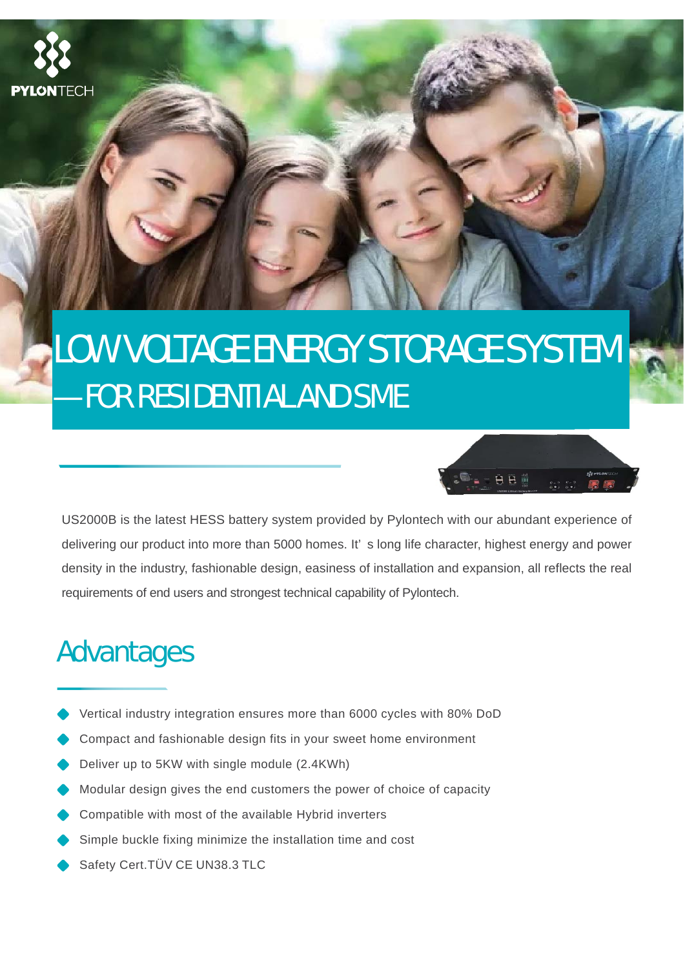

# LOW VOLTAGE ENERGY STORAGE SYSTEM —FOR RESIDENTIAL AND SME



US2000B is the latest HESS battery system provided by Pylontech with our abundant experience of delivering our product into more than 5000 homes. It' s long life character, highest energy and power density in the industry, fashionable design, easiness of installation and expansion, all reflects the real requirements of end users and strongest technical capability of Pylontech.

### Advantages

- Vertical industry integration ensures more than 6000 cycles with 80% DoD
- Compact and fashionable design fits in your sweet home environment
- Deliver up to 5KW with single module (2.4KWh)
- Modular design gives the end customers the power of choice of capacity
- Compatible with most of the available Hybrid inverters
- Simple buckle fixing minimize the installation time and cost
- Safety Cert.TÜV CE UN38.3 TLC